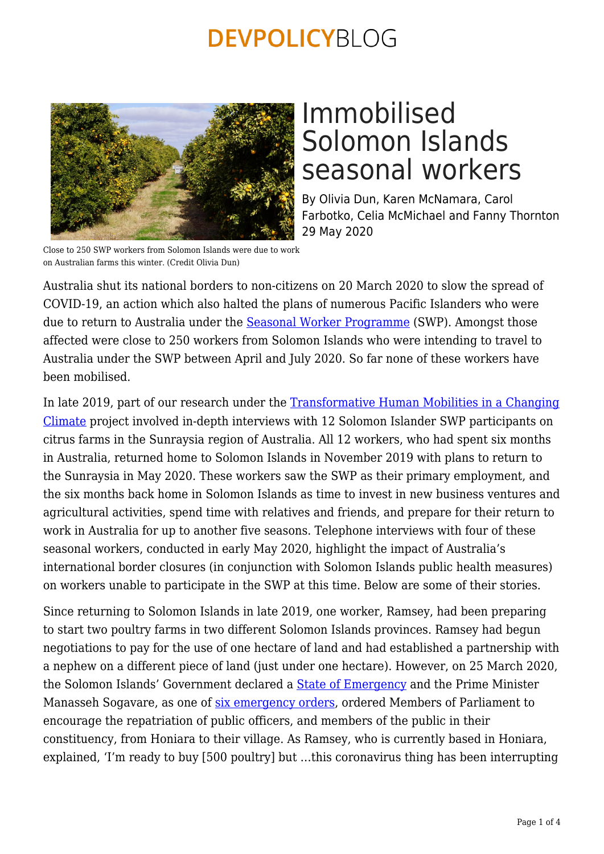

# Immobilised Solomon Islands seasonal workers

By Olivia Dun, Karen McNamara, Carol Farbotko, Celia McMichael and Fanny Thornton 29 May 2020

Close to 250 SWP workers from Solomon Islands were due to work on Australian farms this winter. (Credit Olivia Dun)

Australia shut its national borders to non-citizens on 20 March 2020 to slow the spread of COVID-19, an action which also halted the plans of numerous Pacific Islanders who were due to return to Australia under the [Seasonal Worker Programme](https://www.employment.gov.au/seasonal-worker-programme) (SWP). Amongst those affected were close to 250 workers from Solomon Islands who were intending to travel to Australia under the SWP between April and July 2020. So far none of these workers have been mobilised.

In late 2019, part of our research under the [Transformative Human Mobilities in a Changing](https://environmentalmigration.iom.int/projects/transformative-human-mobilities-changing-climate) [Climate](https://environmentalmigration.iom.int/projects/transformative-human-mobilities-changing-climate) project involved in-depth interviews with 12 Solomon Islander SWP participants on citrus farms in the Sunraysia region of Australia. All 12 workers, who had spent six months in Australia, returned home to Solomon Islands in November 2019 with plans to return to the Sunraysia in May 2020. These workers saw the SWP as their primary employment, and the six months back home in Solomon Islands as time to invest in new business ventures and agricultural activities, spend time with relatives and friends, and prepare for their return to work in Australia for up to another five seasons. Telephone interviews with four of these seasonal workers, conducted in early May 2020, highlight the impact of Australia's international border closures (in conjunction with Solomon Islands public health measures) on workers unable to participate in the SWP at this time. Below are some of their stories.

Since returning to Solomon Islands in late 2019, one worker, Ramsey, had been preparing to start two poultry farms in two different Solomon Islands provinces. Ramsey had begun negotiations to pay for the use of one hectare of land and had established a partnership with a nephew on a different piece of land (just under one hectare). However, on 25 March 2020, the Solomon Islands' Government declared a [State of Emergency](http://www.mfaet.gov.sb/resources/sig-covid-19-updates.html) and the Prime Minister Manasseh Sogavare, as one of [six emergency orders](https://www.solomonislandsembassy.com/news-and-press-releases/hon-prime-minister-manasseh-sogavare-statement-to-the-nation-on-the-state-of-public-emergency), ordered Members of Parliament to encourage the repatriation of public officers, and members of the public in their constituency, from Honiara to their village. As Ramsey, who is currently based in Honiara, explained, 'I'm ready to buy [500 poultry] but …this coronavirus thing has been interrupting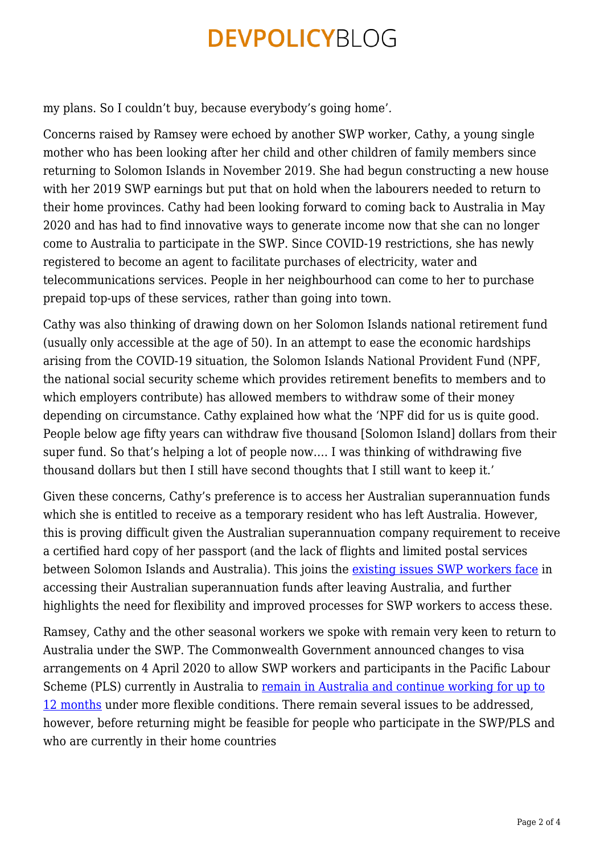my plans. So I couldn't buy, because everybody's going home'*.*

Concerns raised by Ramsey were echoed by another SWP worker, Cathy, a young single mother who has been looking after her child and other children of family members since returning to Solomon Islands in November 2019. She had begun constructing a new house with her 2019 SWP earnings but put that on hold when the labourers needed to return to their home provinces. Cathy had been looking forward to coming back to Australia in May 2020 and has had to find innovative ways to generate income now that she can no longer come to Australia to participate in the SWP. Since COVID-19 restrictions, she has newly registered to become an agent to facilitate purchases of electricity, water and telecommunications services. People in her neighbourhood can come to her to purchase prepaid top-ups of these services, rather than going into town.

Cathy was also thinking of drawing down on her Solomon Islands national retirement fund (usually only accessible at the age of 50). In an attempt to ease the economic hardships arising from the COVID-19 situation, the Solomon Islands National Provident Fund (NPF, the national social security scheme which provides retirement benefits to members and to which employers contribute) has allowed members to withdraw some of their money depending on circumstance. Cathy explained how what the 'NPF did for us is quite good. People below age fifty years can withdraw five thousand [Solomon Island] dollars from their super fund. So that's helping a lot of people now…. I was thinking of withdrawing five thousand dollars but then I still have second thoughts that I still want to keep it.'

Given these concerns, Cathy's preference is to access her Australian superannuation funds which she is entitled to receive as a temporary resident who has left Australia. However, this is proving difficult given the Australian superannuation company requirement to receive a certified hard copy of her passport (and the lack of flights and limited postal services between Solomon Islands and Australia). This joins the [existing issues SWP workers face](https://devpolicy.org/making-the-swp-more-employer-friendly-20180713/) in accessing their Australian superannuation funds after leaving Australia, and further highlights the need for flexibility and improved processes for SWP workers to access these.

Ramsey, Cathy and the other seasonal workers we spoke with remain very keen to return to Australia under the SWP. The Commonwealth Government announced changes to visa arrangements on 4 April 2020 to allow SWP workers and participants in the Pacific Labour Scheme (PLS) currently in Australia to [remain in Australia and continue working for up to](https://www.employment.gov.au/seasonal-worker-programme) [12 months](https://www.employment.gov.au/seasonal-worker-programme) under more flexible conditions. There remain several issues to be addressed, however, before returning might be feasible for people who participate in the SWP/PLS and who are currently in their home countries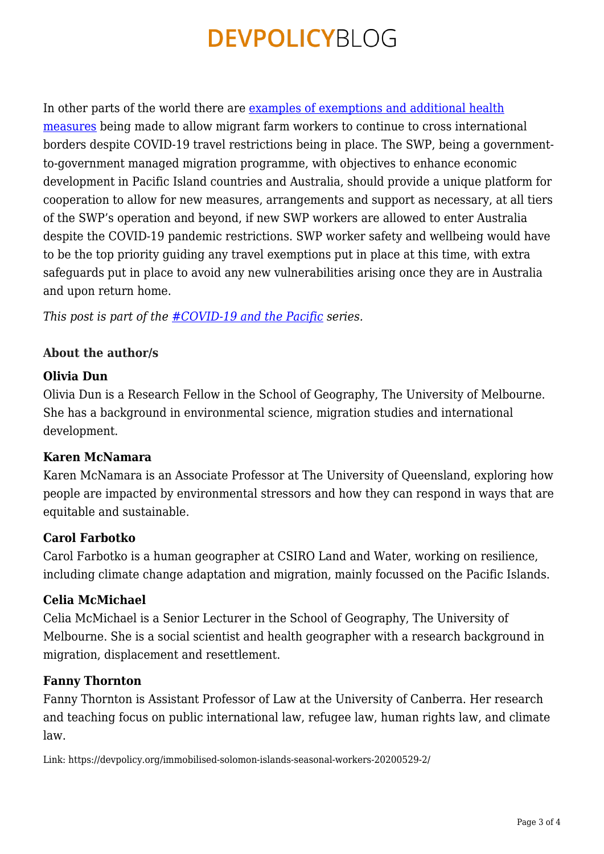In other parts of the world there are [examples of exemptions and additional health](https://devpolicy.org/recovering-from-covid-19-a-pacific-pathway-20200501/) [measures](https://devpolicy.org/recovering-from-covid-19-a-pacific-pathway-20200501/) being made to allow migrant farm workers to continue to cross international borders despite COVID-19 travel restrictions being in place. The SWP, being a governmentto-government managed migration programme, with objectives to enhance economic development in Pacific Island countries and Australia, should provide a unique platform for cooperation to allow for new measures, arrangements and support as necessary, at all tiers of the SWP's operation and beyond, if new SWP workers are allowed to enter Australia despite the COVID-19 pandemic restrictions. SWP worker safety and wellbeing would have to be the top priority guiding any travel exemptions put in place at this time, with extra safeguards put in place to avoid any new vulnerabilities arising once they are in Australia and upon return home.

*This post is part of the [#COVID-19 and the Pacific](https://devpolicy.org/tag/covid-19-and-the-pacific/) series.*

## **About the author/s**

### **Olivia Dun**

Olivia Dun is a Research Fellow in the School of Geography, The University of Melbourne. She has a background in environmental science, migration studies and international development.

#### **Karen McNamara**

Karen McNamara is an Associate Professor at The University of Queensland, exploring how people are impacted by environmental stressors and how they can respond in ways that are equitable and sustainable.

#### **Carol Farbotko**

Carol Farbotko is a human geographer at CSIRO Land and Water, working on resilience, including climate change adaptation and migration, mainly focussed on the Pacific Islands.

### **Celia McMichael**

Celia McMichael is a Senior Lecturer in the School of Geography, The University of Melbourne. She is a social scientist and health geographer with a research background in migration, displacement and resettlement.

#### **Fanny Thornton**

Fanny Thornton is Assistant Professor of Law at the University of Canberra. Her research and teaching focus on public international law, refugee law, human rights law, and climate law.

Link: https://devpolicy.org/immobilised-solomon-islands-seasonal-workers-20200529-2/